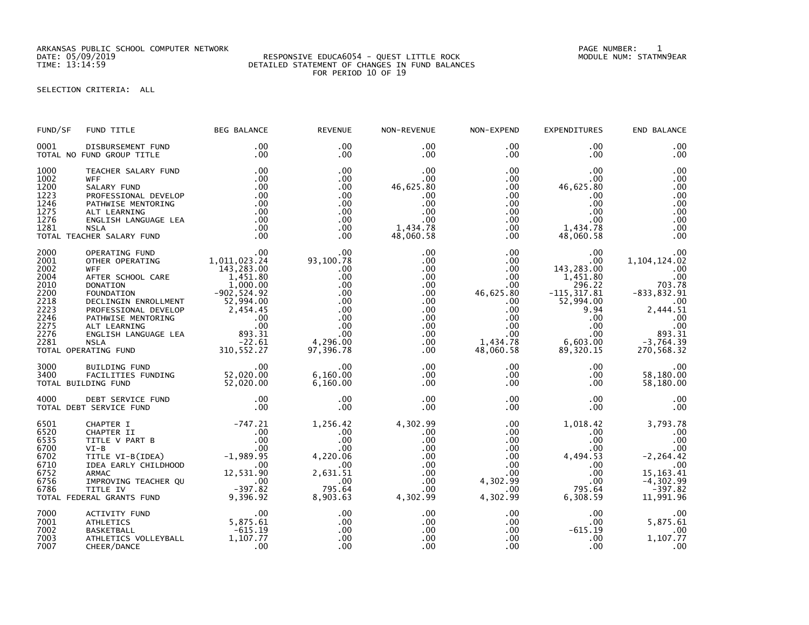ARKANSAS PUBLIC SCHOOL COMPUTER NETWORK PAGE NUMBER: 1

## DATE: 05/09/2019 RESPONSIVE EDUCA6054 - QUEST LITTLE ROCK MODULE NUM: STATMN9EAR TIME: 13:14:59 DETAILED STATEMENT OF CHANGES IN FUND BALANCES FOR PERIOD 10 OF 19

SELECTION CRITERIA: ALL

| FUND/SF                                                                                      | FUND TITLE                                                                                                                                                                                                                                                                                                                                                 | <b>BEG BALANCE</b>                                                           | <b>REVENUE</b>                                                                                             | NON-REVENUE                                                                                                           | NON-EXPEND                                                                                                                                  | <b>EXPENDITURES</b>                                                                                                                                                       | END BALANCE                                                                                                                             |
|----------------------------------------------------------------------------------------------|------------------------------------------------------------------------------------------------------------------------------------------------------------------------------------------------------------------------------------------------------------------------------------------------------------------------------------------------------------|------------------------------------------------------------------------------|------------------------------------------------------------------------------------------------------------|-----------------------------------------------------------------------------------------------------------------------|---------------------------------------------------------------------------------------------------------------------------------------------|---------------------------------------------------------------------------------------------------------------------------------------------------------------------------|-----------------------------------------------------------------------------------------------------------------------------------------|
| 0001                                                                                         | DISBURSEMENT FUND<br>TOTAL NO FUND GROUP TITLE                                                                                                                                                                                                                                                                                                             | $.00 \,$<br>$.00 \,$                                                         | $.00 \times$<br>$.00 \times$                                                                               | $.00 \,$<br>$.00 \,$                                                                                                  | $.00 \,$<br>$.00 \,$                                                                                                                        | $.00 \,$<br>.00                                                                                                                                                           | .00<br>.00                                                                                                                              |
| 1000<br>1002<br>1200<br>1223<br>1246<br>1275<br>1276<br>1281                                 | TEACHER SALARY FUND<br><b>WFF</b><br>SALARY FUND<br>PROFESSIONAL DEVELOP<br>PATHWISE MENTORING<br>ALT LEARNING<br>ENGLISH LANGUAGE LEA<br>NSLA<br><b>NSLA</b><br>TOTAL TEACHER SALARY FUND                                                                                                                                                                 | .00<br>.00<br>.00<br>.00<br>.00<br>.00<br>.00<br>.00<br>.00                  | .00<br>.00<br>.00<br>.00<br>.00<br>.00<br>.00<br>.00<br>.00                                                | .00<br>$.00 \,$<br>46,625.80<br>.00<br>.00<br>.00<br>.00<br>1,434.78<br>48,060.58                                     | $.00 \,$<br>$.00\,$<br>$.00 \ \,$<br>$.00 \,$<br>$.00 \ \mathrm{.}$<br>$.00\,$<br>$.00\,$<br>$.00 \,$<br>$.00 \,$                           | .00.<br>.00<br>46,625.80<br>.00<br>.00<br>.00.<br>$.00 \,$<br>1,434.78<br>48,060.58                                                                                       | .00<br>.00<br>.00<br>.00<br>.00<br>.00<br>.00<br>.00<br>.00                                                                             |
| 2000<br>2001<br>2002<br>2004<br>2010<br>2200<br>2218<br>2223<br>2246<br>2275<br>2276<br>2281 | OO<br>OTHER OPERATING 1,011,023.24<br>WEE MICH 1,023.24<br><b>WFF</b><br>WFF<br>AFTER SCHOOL CARE<br>143,283.00<br>DONATION<br>FOUNDATION<br>TOLOGING INCOLLMENT<br>1,000.00<br>DECLINGIN ENROLLMENT<br>PATHWISE MENTORING<br>PATHWISE MENTORING<br>ALT LEARNING<br>ALT LEARNING<br>ALT LEARNING<br>COLLISH LANGUAGE LEA<br>RATING<br>TOTAL OPERATING FUND | 143,283.00                                                                   | .00<br>93, 100.78<br>.00.<br>.00<br>.00<br>.00<br>.00<br>.00<br>.00<br>.00<br>.00<br>4,296.00<br>97,396.78 | .00<br>$.00 \,$<br>$.00 \,$<br>$.00 \,$<br>.00<br>$.00 \,$<br>.00<br>.00<br>.00<br>$.00 \,$<br>.00<br>$.00 \,$<br>.00 | $.00 \,$<br>$.00 \,$<br>$.00 \,$<br>$.00 \,$<br>$.00 \,$<br>46,625.80<br>$.00 \,$<br>$.00 \,$<br>.00<br>.00<br>.00<br>1,434.78<br>48,060.58 | $.00 \,$<br>$.00 \,$<br>143,283.00<br>1,451.80<br>296.22<br>$-115, 317.81$<br>52,994.00<br>9.94<br>$.00 \,$<br>$.00 \,$<br>$.00 \,$<br>6,603.00<br>89,320.15<br>89,320.15 | .00<br>1,104,124.02<br>.00<br>.00<br>703.78<br>$-833, 832.91$<br>.00<br>2,444.51<br>.00<br>.00<br>893.31<br>-3,764.39<br>270,568.32     |
| 3000<br>3400                                                                                 | 00. 8UILDING FUND<br>FACILITIES FUNDING 52,020.00<br>DING FUND 52,020.00<br>TOTAL BUILDING FUND                                                                                                                                                                                                                                                            |                                                                              | .00<br>6,160.00<br>6,160.00                                                                                | $.00 \,$<br>$.00 \,$<br>$.00 \,$                                                                                      | $.00 \,$<br>.00<br>$.00 \,$                                                                                                                 | $.00 \,$<br>$.00 \cdot$<br>$.00 \,$                                                                                                                                       | .00<br>58,180.00<br>58,180.00                                                                                                           |
| 4000                                                                                         | DEBT SERVICE FUND<br>TOTAL DEBT SERVICE FUND                                                                                                                                                                                                                                                                                                               | .00<br>.00                                                                   | .00<br>.00                                                                                                 | .00<br>.00                                                                                                            | $.00 \,$<br>$.00 \,$                                                                                                                        | $.00 \,$<br>$.00 \,$                                                                                                                                                      | .00<br>.00                                                                                                                              |
| 6501<br>6520<br>6535<br>6700<br>6702<br>6710<br>6752<br>6756<br>6786                         | CHAPTER I<br>CHAPTER II<br>CHAPTER II 00<br>TITLE V PART B 00<br>VI-B 00<br>TITLE VI-B(IDEA) -1,989.95<br>TDEA EARLY CHILDHOOD 00<br>IDEA EARLY CHILDHOOD<br><b>ARMAC</b><br>IMPROVING TEACHER QU<br>TITLE IV<br>TOTAL FEDERAL GRANTS FUND                                                                                                                 | $-747.21$<br>$\sim$ .00<br>100D<br>12, 531.90<br>2 QU<br>397.82<br>9, 396.92 | 1,256.42<br>.00<br>.00<br>.00<br>4,220.06<br>.00<br>2,631.51<br>.00<br>795.64<br>8,903.63                  | 4,302.99<br>.00<br>.00<br>.00<br>$.00 \,$<br>$.00 \,$<br>$.00 \,$<br>.00<br>$.00 \,$<br>4,302.99                      | $.00 \,$<br>$.00 \cdot$<br>.00<br>.00<br>$.00 \,$<br>$.00 \ \mathrm{.}$<br>$.00\,$<br>4,302.99<br>$.00 \,$<br>4,302.99                      | 1,018.42<br>$.00 \,$<br>$.00 \cdot$<br>$.00 \,$<br>4,494.53<br>$.00 \,$<br>.00<br>.00<br>795.64<br>6,308.59                                                               | 3,793.78<br>.00<br>.00<br>.00<br>$-2, 264.42$<br>$\overline{\phantom{0}}$ . 00<br>15, 163. 41<br>$-4, 302.99$<br>$-397.82$<br>11,991.96 |
| 7000<br>7001<br>7002<br>7003<br>7007                                                         | ACTIVITY FUND<br>ATHLETICS<br>BASKETBALL<br>ATHLETICS VOLLEYBALL<br>CHEER/DANCE                                                                                                                                                                                                                                                                            | .00<br>00 .<br>5,875 .61<br>$-615.19$<br>1,107.77<br>.00                     | .00<br>.00<br>.00<br>.00<br>.00                                                                            | $.00 \,$<br>$.00 \,$<br>.00<br>.00<br>.00 <sub>1</sub>                                                                | $.00 \ \mathrm{.}$<br>.00<br>.00<br>$.00 \,$<br>.00                                                                                         | $.00 \,$<br>$.00 \,$<br>$-615.19$<br>.00<br>.00                                                                                                                           | .00<br>5,875.61<br>.00<br>1,107.77<br>.00                                                                                               |